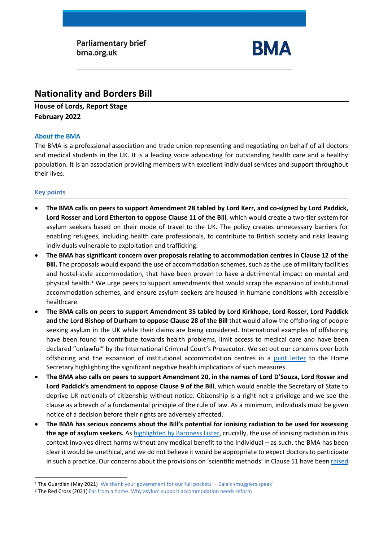**Parliamentary brief** bma.org.uk



# **Nationality and Borders Bill**

**House of Lords, Report Stage February 2022**

## **About the BMA**

The BMA is a professional association and trade union representing and negotiating on behalf of all doctors and medical students in the UK. It is a leading voice advocating for outstanding health care and a healthy population. It is an association providing members with excellent individual services and support throughout their lives.

## **Key points**

- **The BMA calls on peers to support Amendment 28 tabled by Lord Kerr, and co-signed by Lord Paddick, Lord Rosser and Lord Etherton to oppose Clause 11 of the Bill**, which would create a two-tier system for asylum seekers based on their mode of travel to the UK. The policy creates unnecessary barriers for enabling refugees, including health care professionals, to contribute to British society and risks leaving individuals vulnerable to exploitation and trafficking.<sup>1</sup>
- **The BMA has significant concern over proposals relating to accommodation centres in Clause 12 of the Bill.** The proposals would expand the use of accommodation schemes, such as the use of military facilities and hostel-style accommodation, that have been proven to have a detrimental impact on mental and physical health. <sup>2</sup> We urge peers to support amendments that would scrap the expansion of institutional accommodation schemes, and ensure asylum seekers are housed in humane conditions with accessible healthcare.
- **The BMA calls on peers to support Amendment 35 tabled by Lord Kirkhope, Lord Rosser, Lord Paddick and the Lord Bishop of Durham to oppose Clause 28 of the Bill** that would allow the offshoring of people seeking asylum in the UK while their claims are being considered. International examples of offshoring have been found to contribute towards health problems, limit access to medical care and have been declared "unlawful" by the International Criminal Court's Prosecutor. We set out our concerns over both offshoring and the expansion of institutional accommodation centres in a [joint letter](https://msf.org.uk/article/joint-letter-concerns-about-health-implications-nationality-and-borders-bill) to the Home Secretary highlighting the significant negative health implications of such measures.
- **The BMA also calls on peers to support Amendment 20, in the names of Lord D'Souza, Lord Rosser and Lord Paddick's amendment to oppose Clause 9 of the Bill**, which would enable the Secretary of State to deprive UK nationals of citizenship without notice. Citizenship is a right not a privilege and we see the clause as a breach of a fundamental principle of the rule of law. As a minimum, individuals must be given notice of a decision before their rights are adversely affected.
- **The BMA has serious concerns about the Bill's potential for ionising radiation to be used for assessing the age of asylum seekers.** As [highlighted by Baroness Lister,](https://hansard.parliament.uk/lords/2022-02-08/debates/1AB52848-6E2A-49BE-9D95-9221298E14C3/NationalityAndBordersBill#contribution-5001B2AF-0FD4-4604-B718-19F53D1C675B) crucially, the use of ionising radiation in this context involves direct harms without any medical benefit to the individual – as such, the BMA has been clear it would be unethical, and we do not believe it would be appropriate to expect doctors to participate in such a practice. Our concerns about the provisions on 'scientific methods' in Clause 51 have bee[n raised](https://hansard.parliament.uk/lords/2022-02-08/debates/1AB52848-6E2A-49BE-9D95-9221298E14C3/NationalityAndBordersBill#contribution-4E1CE6F4-B280-4F3C-91F5-1765BF6B9CE1)

<sup>1</sup> The Guardian (May 2021) ['We thank your government for our full pockets' –](https://www.theguardian.com/global-development/2021/may/10/calais-smuggler-gangs-channel-migrants-uk-security?CMP=Share_AndroidApp_Other) Calais smugglers speak'

<sup>&</sup>lt;sup>2</sup> The Red Cross (2021[\) Far from a home:](https://www.redcross.org.uk/far-from-a-home) Why asylum support accommodation needs reform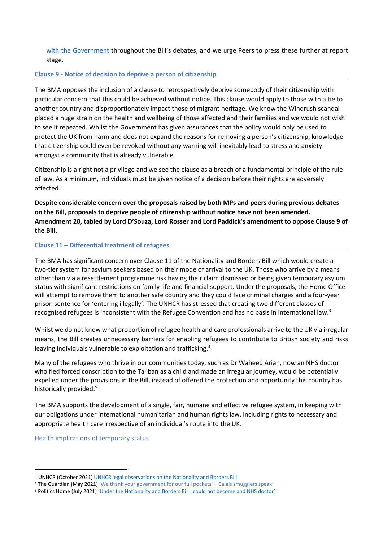[with the Government](https://hansard.parliament.uk/lords/2022-02-08/debates/1AB52848-6E2A-49BE-9D95-9221298E14C3/NationalityAndBordersBill#contribution-4E1CE6F4-B280-4F3C-91F5-1765BF6B9CE1) throughout the Bill's debates, and we urge Peers to press these further at report stage.

### **Clause 9 - Notice of decision to deprive a person of citizenship**

The BMA opposes the inclusion of a clause to retrospectively deprive somebody of their citizenship with particular concern that this could be achieved without notice. This clause would apply to those with a tie to another country and disproportionately impact those of migrant heritage. We know the Windrush scandal placed a huge strain on the health and wellbeing of those affected and their families and we would not wish to see it repeated. Whilst the Government has given assurances that the policy would only be used to protect the UK from harm and does not expand the reasons for removing a person's citizenship, knowledge that citizenship could even be revoked without any warning will inevitably lead to stress and anxiety amongst a community that is already vulnerable.

Citizenship is a right not a privilege and we see the clause as a breach of a fundamental principle of the rule of law. As a minimum, individuals must be given notice of a decision before their rights are adversely affected.

**Despite considerable concern over the proposals raised by both MPs and peers during previous debates on the Bill, proposals to deprive people of citizenship without notice have not been amended. Amendment 20, tabled by Lord D'Souza, Lord Rosser and Lord Paddick's amendment to oppose Clause 9 of the Bill**.

## **Clause 11 – Differential treatment of refugees**

The BMA has significant concern over Clause 11 of the Nationality and Borders Bill which would create a two-tier system for asylum seekers based on their mode of arrival to the UK. Those who arrive by a means other than via a resettlement programme risk having their claim dismissed or being given temporary asylum status with significant restrictions on family life and financial support. Under the proposals, the Home Office will attempt to remove them to another safe country and they could face criminal charges and a four-year prison sentence for 'entering illegally'. The UNHCR has stressed that creating two different classes of recognised refugees is inconsistent with the Refugee Convention and has no basis in international law.<sup>3</sup>

Whilst we do not know what proportion of refugee health and care professionals arrive to the UK via irregular means, the Bill creates unnecessary barriers for enabling refugees to contribute to British society and risks leaving individuals vulnerable to exploitation and trafficking.<sup>4</sup>

Many of the refugees who thrive in our communities today, such as Dr Waheed Arian, now an NHS doctor who fled forced conscription to the Taliban as a child and made an irregular journey, would be potentially expelled under the provisions in the Bill, instead of offered the protection and opportunity this country has historically provided.<sup>5</sup>

The BMA supports the development of a single, fair, humane and effective refugee system, in keeping with our obligations under international humanitarian and human rights law, including rights to necessary and appropriate health care irrespective of an individual's route into the UK.

Health implications of temporary status

<sup>&</sup>lt;sup>3</sup> UNHCR (October 2021[\) UNHCR legal observations on the Nationality and Borders Bill](https://www.unhcr.org/publications/legal/615ff04d4/unhcr-legal-observations-nationality-and-borders-bill-oct-2021.html)

<sup>4</sup> The Guardian (May 2021) ['We thank your government for our full pockets' –](https://www.theguardian.com/global-development/2021/may/10/calais-smuggler-gangs-channel-migrants-uk-security?CMP=Share_AndroidApp_Other) Calais smugglers speak'

<sup>5</sup> Politics Home (July 2021) ['Under the Nationality and Borders Bill I could not become and NHS doctor'](https://www.politicshome.com/thehouse/article/under-the-nationality-and-borders-bill-i-could-not-become-an-nhs-doctor)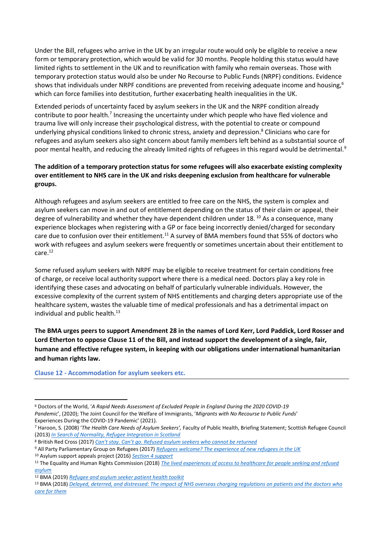Under the Bill, refugees who arrive in the UK by an irregular route would only be eligible to receive a new form or temporary protection, which would be valid for 30 months. People holding this status would have limited rights to settlement in the UK and to reunification with family who remain overseas. Those with temporary protection status would also be under No Recourse to Public Funds (NRPF) conditions. Evidence shows that individuals under NRPF conditions are prevented from receiving adequate income and housing,<sup>6</sup> which can force families into destitution, further exacerbating health inequalities in the UK.

Extended periods of uncertainty faced by asylum seekers in the UK and the NRPF condition already contribute to poor health.<sup>7</sup> Increasing the uncertainty under which people who have fled violence and trauma live will only increase their psychological distress, with the potential to create or compound underlying physical conditions linked to chronic stress, anxiety and depression.<sup>8</sup> Clinicians who care for refugees and asylum seekers also sight concern about family members left behind as a substantial source of poor mental health, and reducing the already limited rights of refugees in this regard would be detrimental.<sup>9</sup>

# **The addition of a temporary protection status for some refugees will also exacerbate existing complexity over entitlement to NHS care in the UK and risks deepening exclusion from healthcare for vulnerable groups.**

Although refugees and asylum seekers are entitled to free care on the NHS, the system is complex and asylum seekers can move in and out of entitlement depending on the status of their claim or appeal, their degree of vulnerability and whether they have dependent children under 18.<sup>10</sup> As a consequence, many experience blockages when registering with a GP or face being incorrectly denied/charged for secondary care due to confusion over their entitlement.<sup>11</sup> A survey of BMA members found that 55% of doctors who work with refugees and asylum seekers were frequently or sometimes uncertain about their entitlement to care.<sup>12</sup>

Some refused asylum seekers with NRPF may be eligible to receive treatment for certain conditions free of charge, or receive local authority support where there is a medical need. Doctors play a key role in identifying these cases and advocating on behalf of particularly vulnerable individuals. However, the excessive complexity of the current system of NHS entitlements and charging deters appropriate use of the healthcare system, wastes the valuable time of medical professionals and has a detrimental impact on individual and public health. $^{13}$ 

**The BMA urges peers to support Amendment 28 in the names of Lord Kerr, Lord Paddick, Lord Rosser and Lord Etherton to oppose Clause 11 of the Bill, and instead support the development of a single, fair, humane and effective refugee system, in keeping with our obligations under international humanitarian and human rights law.**

**Clause 12 - Accommodation for asylum seekers etc.**

<sup>6</sup> Doctors of the World, '*A Rapid Needs Assessment of Excluded People in England During the 2020 COVID-19 Pandemic*', (2020); The Joint Council for the Welfare of Immigrants, '*Migrants with No Recourse to Public Funds*' Experiences During the COVID-19 Pandemic' (2021).

<sup>7</sup> Haroon, S. (2008) '*The Health Care Needs of Asylum Seekers',* Faculty of Public Health, Briefing Statement; Scottish Refugee Council (2013) *[In Search of Normality, Refugee Integration in Scotland](https://www.scottishrefugeecouncil.org.uk/wp-content/uploads/2019/10/In-search-of-normality-Refugee-Integration-in-Scotland-PDF.pdf)*

<sup>8</sup> British Red Cross (2017) *Can't stay. Can't go. Refus[ed asylum seekers who cannot be returned](https://www.redcross.org.uk/-/media/documents/about-us/research-publications/refugee-support/cant-stay-cant-go-webready.pdf)*

<sup>9</sup> All Party Parliamentary Group on Refugees (2017) *[Refugees welcome? The experience of new refugees in the UK](https://refugeecouncil.org.uk/wp-content/uploads/2019/03/APPG_on_Refugees_-_Refugees_Welcome_report.pdf)*

<sup>10</sup> Asylum support appeals project (2016) *[Section 4 support](https://www.asaproject.org/uploads/Factsheet-2-section-4-support.pdf)*

<sup>11</sup> The Equality and Human Rights Commission (2018) *[The lived experiences of access to healthcare for people seeking and refused](https://www.equalityhumanrights.com/sites/default/files/research-report-122-people-seeking-asylum-access-to-healthcare-lived-experiences.pdf)  [asylum](https://www.equalityhumanrights.com/sites/default/files/research-report-122-people-seeking-asylum-access-to-healthcare-lived-experiences.pdf)*

<sup>12</sup> BMA (2019) *[Refugee and asylum seeker patient health toolkit](https://www.bma.org.uk/advice-and-support/ethics/refugees-overseas-visitors-and-vulnerable-migrants/refugee-and-asylum-seeker-patient-health-toolkit/overcoming-barriers-to-refugees-and-asylum-seekers-accessing-care)*

<sup>13</sup> BMA (2018) *[Delayed, deterred, and distressed: The impact of NHS overseas charging regulations on patients and the doctors who](https://www.bma.org.uk/media/1834/bma-overseas-charging-paper-2018.pdf)  [care for them](https://www.bma.org.uk/media/1834/bma-overseas-charging-paper-2018.pdf)*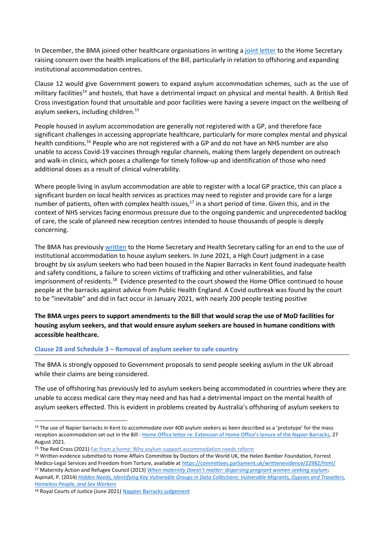In December, the BMA joined other healthcare organisations in writing a [joint letter](https://msf.org.uk/article/joint-letter-concerns-about-health-implications-nationality-and-borders-bill) to the Home Secretary raising concern over the health implications of the Bill, particularly in relation to offshoring and expanding institutional accommodation centres.

Clause 12 would give Government powers to expand asylum accommodation schemes, such as the use of military facilities<sup>14</sup> and hostels, that have a detrimental impact on physical and mental health. A British Red Cross investigation found that unsuitable and poor facilities were having a severe impact on the wellbeing of asylum seekers, including children.<sup>15</sup>

People housed in asylum accommodation are generally not registered with a GP, and therefore face significant challenges in accessing appropriate healthcare, particularly for more complex mental and physical health conditions.<sup>16</sup> People who are not registered with a GP and do not have an NHS number are also unable to access Covid-19 vaccines through regular channels, making them largely dependent on outreach and walk-in clinics, which poses a challenge for timely follow-up and identification of those who need additional doses as a result of clinical vulnerability.

Where people living in asylum accommodation are able to register with a local GP practice, this can place a significant burden on local health services as practices may need to register and provide care for a large number of patients, often with complex health issues,<sup>17</sup> in a short period of time. Given this, and in the context of NHS services facing enormous pressure due to the ongoing pandemic and unprecedented backlog of care, the scale of planned new reception centres intended to house thousands of people is deeply concerning.

The BMA has previousl[y written](https://www.doctorsoftheworld.org.uk/wp-content/uploads/2020/11/Letter-on-the-use-of-MoD-sites-as-accommodation_26.11.2020.pdf) to the Home Secretary and Health Secretary calling for an end to the use of institutional accommodation to house asylum seekers. In June 2021, a High Court [judgment in a case](https://www.judiciary.uk/wp-content/uploads/2021/06/Napier-Barracks-judgment.pdf)  [brought by six asylum seekers](https://www.judiciary.uk/wp-content/uploads/2021/06/Napier-Barracks-judgment.pdf) who had been housed in the Napier Barracks in Kent found inadequate health and safety conditions, a failure to screen victims of trafficking and other vulnerabilities, and false imprisonment of residents.<sup>18</sup> Evidence presented to the court showed the Home Office continued to house people at the barracks against advice from Public Health England. A Covid outbreak was found by the court to be "inevitable" and did in fact occur in January 2021, with nearly 200 people testing positive

# **The BMA urges peers to support amendments to the Bill that would scrap the use of MoD facilities for housing asylum seekers, and that would ensure asylum seekers are housed in humane conditions with accessible healthcare.**

#### **Clause 28 and Schedule 3 – Removal of asylum seeker to safe country**

The BMA is strongly opposed to Government proposals to send people seeking asylum in the UK abroad while their claims are being considered.

The use of offshoring has previously led to asylum seekers being accommodated in countries where they are unable to access medical care they may need and has had a detrimental impact on the mental health of asylum seekers effected. This is evident in problems created by Australia's offshoring of asylum seekers to

*[Homeless People, and Sex Workers](https://assets.publishing.service.gov.uk/government/uploads/system/uploads/attachment_data/file/287805/vulnerable_groups_data_collections.pdf)*

<sup>&</sup>lt;sup>14</sup> The use of Napier barracks in Kent to accommodate over 400 asylum seekers as been described as a 'prototype' for the mass reception accommodation set out in the Bill - [Home Office letter re: Extension of Home Office's tenure of the Napier Barracks](https://appgdetention.org.uk/wp-content/uploads/2021/09/2021-08-27-FBIM-to-Alison-Thewliss-MP.pdf?x66900), 27 August 2021.

<sup>&</sup>lt;sup>15</sup> The Red Cross (2021[\) Far from a home:](https://www.redcross.org.uk/far-from-a-home) Why asylum support accommodation needs reform

<sup>&</sup>lt;sup>16</sup> Written evidence submitted to Home Affairs Committee by Doctors of the World UK, the Helen Bamber Foundation, Forrest Medico-Legal Services and Freedom from Torture, available at<https://committees.parliament.uk/writtenevidence/22982/html/>

<sup>&</sup>lt;sup>17</sup> Maternity Action and Refugee Council (2013) *[When maternity Doesn't matter: dispersing pregnant women seeking asylum](https://www.maternityaction.org.uk/wp-content/uploads/2013/09/When_Maternity_Doesn_t_Matter_-_Ref_Council__Maternity_Action_report_Feb2013.pdf)*; Aspinall, P. (2014) *[Hidden Needs, Identifying Key Vulnerable Groups in Data Collections: Vulnerable Migrants, Gypsies and Travellers,](https://assets.publishing.service.gov.uk/government/uploads/system/uploads/attachment_data/file/287805/vulnerable_groups_data_collections.pdf)* 

<sup>18</sup> Royal Courts of Justice (June 2021) Nappier Barracks judgement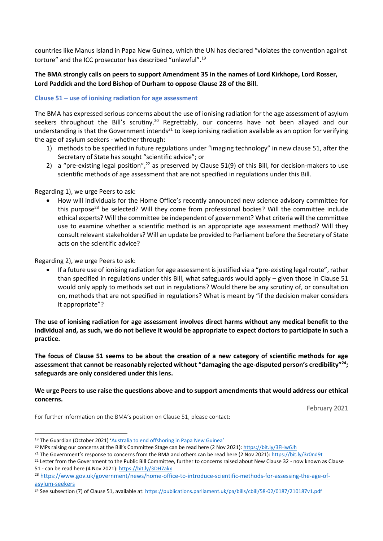countries like Manus Island in Papa New Guinea, which the UN has declared "violates the convention against torture" and the ICC prosecutor has described "unlawful".<sup>19</sup>

# **The BMA strongly calls on peers to support Amendment 35 in the names of Lord Kirkhope, Lord Rosser, Lord Paddick and the Lord Bishop of Durham to oppose Clause 28 of the Bill.**

#### **Clause 51 – use of ionising radiation for age assessment**

The BMA has expressed serious concerns about the use of ionising radiation for the age assessment of asylum seekers throughout the Bill's scrutiny.<sup>20</sup> Regrettably, our concerns have not been allayed and our understanding is that the Government intends<sup>21</sup> to keep ionising radiation available as an option for verifying the age of asylum seekers - whether through:

- 1) methods to be specified in future regulations under "imaging technology" in new clause 51, after the Secretary of State has sought "scientific advice"; or
- 2) a "pre-existing legal position",<sup>22</sup> as preserved by Clause 51(9) of this Bill, for decision-makers to use scientific methods of age assessment that are not specified in regulations under this Bill.

#### Regarding 1), we urge Peers to ask:

• How will individuals for the Home Office's recently announced new science advisory committee for this purpose<sup>23</sup> be selected? Will they come from professional bodies? Will the committee include ethical experts? Will the committee be independent of government? What criteria will the committee use to examine whether a scientific method is an appropriate age assessment method? Will they consult relevant stakeholders? Will an update be provided to Parliament before the Secretary of State acts on the scientific advice?

#### Regarding 2), we urge Peers to ask:

• If a future use of ionising radiation for age assessment is justified via a "pre-existing legal route", rather than specified in regulations under this Bill, what safeguards would apply – given those in Clause 51 would only apply to methods set out in regulations? Would there be any scrutiny of, or consultation on, methods that are not specified in regulations? What is meant by "if the decision maker considers it appropriate"?

**The use of ionising radiation for age assessment involves direct harms without any medical benefit to the individual and, as such, we do not believe it would be appropriate to expect doctors to participate in such a practice.**

**The focus of Clause 51 seems to be about the creation of a new category of scientific methods for age assessment that cannot be reasonably rejected without "damaging the age-disputed person's credibility"<sup>24</sup>; safeguards are only considered under this lens.**

#### **We urge Peers to use raise the questions above and to support amendments that would address our ethical concerns.**

February 2021

For further information on the BMA's position on Clause 51, please contact:

<sup>19</sup> The Guardian (October 2021) ['Australia to end offshoring in Papa New Guinea'](https://www.theguardian.com/australia-news/2021/oct/06/australia-to-end-offshore-processing-in-papua-new-guinea)

<sup>20</sup> MPs raising our concerns at the Bill's Committee Stage can be read here (2 Nov 2021)[: https://bit.ly/3FHw6Jh](https://bit.ly/3FHw6Jh)

<sup>&</sup>lt;sup>21</sup> The Government's response to concerns from the BMA and others can be read here (2 Nov 2021)[: https://bit.ly/3r0nd9t](https://bit.ly/3r0nd9t)

<sup>&</sup>lt;sup>22</sup> Letter from the Government to the Public Bill Committee, further to concerns raised about New Clause 32 - now known as Clause 51 - can be read here (4 Nov 2021):<https://bit.ly/3DH7akx>

<sup>&</sup>lt;sup>23</sup> [https://www.gov.uk/government/news/home-office-to-introduce-scientific-methods-for-assessing-the-age-of](https://www.gov.uk/government/news/home-office-to-introduce-scientific-methods-for-assessing-the-age-of-asylum-seekers)[asylum-seekers](https://www.gov.uk/government/news/home-office-to-introduce-scientific-methods-for-assessing-the-age-of-asylum-seekers)

<sup>&</sup>lt;sup>24</sup> See subsection (7) of Clause 51, available at[: https://publications.parliament.uk/pa/bills/cbill/58-02/0187/210187v1.pdf](https://publications.parliament.uk/pa/bills/cbill/58-02/0187/210187v1.pdf)